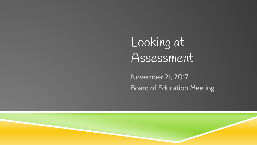Looking at Assessment

November 21, 2017 Board of Education Meeting

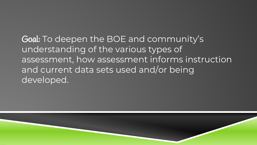Goal: To deepen the BOE and community's understanding of the various types of assessment, how assessment informs instruction and current data sets used and/or being developed.

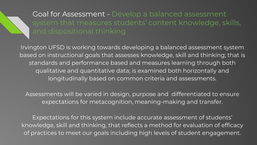## Goal for Assessment - Develop a balanced assessment system that measures students' content knowledge, skills,

Irvington UFSD is working towards developing a balanced assessment system based on instructional goals that assesses knowledge, skill and thinking; that is standards and performance based and measures learning through both qualitative and quantitative data; is examined both horizontally and longitudinally based on common criteria and assessments.

Assessments will be varied in design, purpose and differentiated to ensure expectations for metacognition, meaning-making and transfer.

Expectations for this system include accurate assessment of students' knowledge, skill and thinking, that reflects a method for evaluation of efficacy of practices to meet our goals including high levels of student engagement.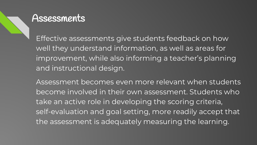#### Assessments

Effective assessments give students feedback on how well they understand information, as well as areas for improvement, while also informing a teacher's planning and instructional design.

Assessment becomes even more relevant when students become involved in their own assessment. Students who take an active role in developing the scoring criteria, self-evaluation and goal setting, more readily accept that the assessment is adequately measuring the learning.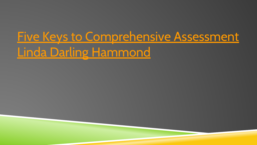# [Five Keys to Comprehensive Assessment](https://www.youtube.com/watch?v=HFimMJL3Wz0) [Linda Darling Hammond](https://www.youtube.com/watch?v=HFimMJL3Wz0)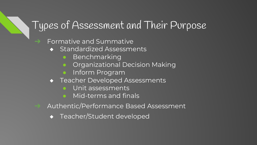### Types of Assessment and Their Purpose

#### ➔ Formative and Summative

- ◆ Standardized Assessments
	- **Benchmarking**
	- Organizational Decision Making
	- Inform Program
- ◆ Teacher Developed Assessments
	- Unit assessments
	- Mid-terms and finals
- ➔ Authentic/Performance Based Assessment
	- ◆ Teacher/Student developed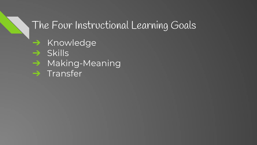### The Four Instructional Learning Goals

→ Knowledge

- ➔ Skills
- ➔ Making-Meaning
- ➔ Transfer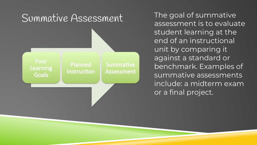

assessment is to evaluate student learning at the end of an instructional unit by comparing it against a standard or benchmark. Examples of summative assessments include: a midterm exam or a final project.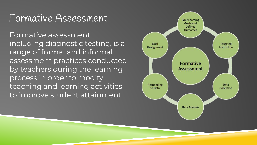#### Formative Assessment

Formative assessment, including diagnostic testing, is a range of formal and informal assessment practices conducted by teachers during the learning process in order to modify teaching and learning activities to improve student attainment.

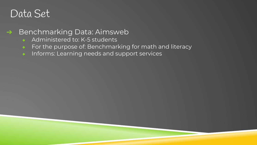#### ➔ Benchmarking Data: Aimsweb

- ◆ Administered to: K-5 students
- ◆ For the purpose of: Benchmarking for math and literacy
- ◆ Informs: Learning needs and support services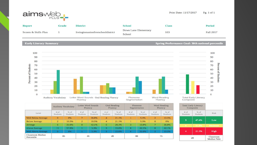

Print Date: 11/17/2017 Pg. 1 of 1

| <b>Report</b>        | <b>Grade</b> | <b>District</b>                  | School                         | Class | <b>Period</b>    |
|----------------------|--------------|----------------------------------|--------------------------------|-------|------------------|
| Scores & Skills Plan |              | Irvingtonunionfreeschooldistrict | Dows Lane Elementary<br>School | 103   | <b>Fall 2017</b> |

#### **Early Literacy Summary**

#### **Spring Performance Goal: 30th national percentile**



|                                | <b>Auditory Vocabulary</b> |                  | Letter Word Sounds<br>Fluency |                           | <b>Oral Reading</b><br>Fluency |                    | Phoneme<br>Segmentation |                  | <b>Word Reading</b><br>Fluency |                  |
|--------------------------------|----------------------------|------------------|-------------------------------|---------------------------|--------------------------------|--------------------|-------------------------|------------------|--------------------------------|------------------|
| Level                          | $#$ of<br>Students         | % of<br>Students | $#$ of<br>Students            | $%$ of<br><b>Students</b> | $#$ of<br>Students             | $%$ of<br>Students | # of<br>Students        | % of<br>Students | $#$ of<br>Students             | % of<br>Students |
| <b>Well Below Average</b>      | $\bf{0}$                   | 0%               | 7                             | 36.8%                     | $\overline{4}$                 | 21.1%              |                         | 5.3%             | $\overline{2}$                 | 10.5%            |
| <b>Below Average</b>           | $\overline{2}$             | 10.5%            | $\overline{2}$                | 10.5%                     | $\overline{4}$                 | 21.1%              |                         | 5.3%             | $\bf{0}$                       | 0%               |
| Average                        | 6                          | 31.6%            | 8                             | 42.1%                     | 5                              | 26.3%              | 3                       | 15.8%            | 7                              | 36.8%            |
| <b>Above Average</b>           | 11                         | 57.9%            |                               | 5.3%                      | з                              | 15.8%              | 8                       | 42.1%            | 8                              | 42.1%            |
| Well Above Average             | $\Theta$                   | 0%               |                               | 5.3%                      | з                              | 15.8%              | 6                       | 31.6%            | $\overline{2}$                 | 10.5%            |
| Classroom Median<br>Percentile | 85                         |                  | 26                            |                           | 28                             |                    | 88                      |                  | 75                             |                  |



|                          | <b>Total Early Literacy</b><br>Composite |                    |  |  |  |
|--------------------------|------------------------------------------|--------------------|--|--|--|
| Risk                     | % of<br><b>Students</b>                  | $#$ of<br>Students |  |  |  |
| Low                      | 47.4%                                    | 9                  |  |  |  |
| <b>Moderate</b>          | 31.6%<br>21.1%                           |                    |  |  |  |
| High                     |                                          |                    |  |  |  |
| Classroom<br>Median %ile |                                          | 28                 |  |  |  |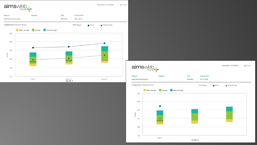

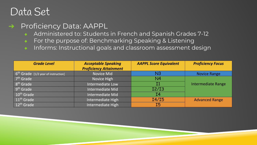#### → Proficiency Data: AAPPL

- ◆ Administered to: Students in French and Spanish Grades 7-12
- ◆ For the purpose of: Benchmarking Speaking & Listening
- ◆ Informs: Instructional goals and classroom assessment design

| <b>Grade Level</b>                    | <b>Acceptable Speaking</b><br><b>Proficiency Attainment</b> | <b>AAPPL Score Equivalent</b> | <b>Proficiency Focus</b> |
|---------------------------------------|-------------------------------------------------------------|-------------------------------|--------------------------|
| $6th$ Grade [1/2 year of instruction] | Novice Mid                                                  | N3                            | <b>Novice Range</b>      |
| 7 <sup>th</sup> Grade                 | Novice High                                                 | N <sub>4</sub>                |                          |
| 8 <sup>th</sup> Grade                 | Intermediate Low                                            | $\mathbf{I}1$                 | Intermediate Range       |
| 9 <sup>th</sup> Grade                 | Intermediate Mid                                            | I2/I3                         |                          |
| $10th$ Grade                          | Intermediate Mid                                            | T4                            |                          |
| $11th$ Grade                          | Intermediate High                                           | I4/I5                         | <b>Advanced Range</b>    |
| $12th$ Grade                          | Intermediate High                                           | I5                            |                          |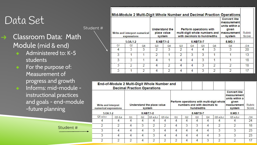Student #

- $\rightarrow$  Classroom Data: Math Module (mid & end)
	- Administered to: K-5 students
	- ◆ For the purpose of: Measurement of progress and growth
	- Informs: mid-module instructional practices and goals - end-module -future planning

Student #

|  | Write and interpret numerical<br>expressions<br>$5.0A.1-2$ |                |                          | <b>Understand the</b><br>place value<br>system |                |                |                | Perform operations with<br>multi-digit whole numbers and<br>with decimals to hundredths | <b>Convert like</b><br>measurement<br>units within a<br>given<br>measurement<br>system | Rubric<br>Score |     |
|--|------------------------------------------------------------|----------------|--------------------------|------------------------------------------------|----------------|----------------|----------------|-----------------------------------------------------------------------------------------|----------------------------------------------------------------------------------------|-----------------|-----|
|  |                                                            |                |                          | 5.NBT.1-2                                      |                |                |                | 5.NBT.5-7                                                                               | 5.MD.1                                                                                 |                 |     |
|  | Q <sub>1</sub>                                             | Q <sub>2</sub> | Q <sub>6</sub>           | Q <sub>3</sub>                                 | Q <sub>6</sub> | Q <sub>3</sub> | Q <sub>4</sub> | Q <sub>5</sub>                                                                          | Q6                                                                                     | Q6              | 124 |
|  | 4                                                          | 3              | 3                        | $\mathcal{D}$                                  | 3              | $\mathfrak{D}$ | 4              | $\overline{4}$                                                                          | 3                                                                                      | 3               | 20  |
|  | 3                                                          |                |                          | $\mathcal{D}$                                  |                | $\overline{2}$ | 3              | 3                                                                                       |                                                                                        |                 | 13  |
|  | 3                                                          | 3              |                          | 4                                              |                | 4              | 4              | 3                                                                                       |                                                                                        |                 | 18  |
|  | 3                                                          | $\mathfrak{D}$ | $\mathfrak{D}$           | 4                                              | $\overline{2}$ | 4              | 4              | 3                                                                                       | $\mathfrak{D}$                                                                         | $\mathcal{D}$   | 18  |
|  | 3                                                          |                | $\overline{\mathcal{L}}$ | 4                                              | $\overline{2}$ | 4              | 4              | 3                                                                                       | $\mathcal{P}$                                                                          | $\mathcal{D}$   | 17  |

|                                                     | End-of-Module 2 Multi-Digit Whole Number and |                                      |                | <b>Decimal Fraction Operations</b> |                          |    |                                                                                         |                                                                                        |                        |                |               |     |
|-----------------------------------------------------|----------------------------------------------|--------------------------------------|----------------|------------------------------------|--------------------------|----|-----------------------------------------------------------------------------------------|----------------------------------------------------------------------------------------|------------------------|----------------|---------------|-----|
| <b>Write and interpret</b><br>numerical expressions |                                              | Understand the place value<br>system |                |                                    |                          |    | Perform operations with multi-digit whole<br>numbers and with decimals to<br>hundredths | <b>Convert like</b><br>measurement<br>units within a<br>given<br>measurement<br>system | <b>Rubric</b><br>Score |                |               |     |
| $5.0A.1-2$                                          | 5.NBT.1-2                                    |                                      |                |                                    | 5.NBT.5-7                |    |                                                                                         |                                                                                        |                        | 5.MD.1         |               |     |
| Q5a,b,c                                             | Q5d.e                                        | Q <sub>1</sub>                       | Q <sub>2</sub> | Q5a,b,c                            | Q5d,e                    | Q1 | Q <sub>2</sub>                                                                          | Q3                                                                                     | Q <sub>4</sub>         | Q5a,b,c        | Q5a,b,c       | /24 |
|                                                     | 4                                            | 4                                    | 4              | 4                                  | 4                        | 4  | 4                                                                                       | 4                                                                                      | 4                      | 4              |               | 24  |
| $\mathcal{D}$                                       | $\mathcal{P}$                                | 4                                    | 3              | $\mathcal{P}$                      | $\overline{\phantom{a}}$ | 4  | 3                                                                                       | 3                                                                                      | 4                      | $\mathfrak{D}$ | $\mathcal{D}$ | 18  |
| 3                                                   | 4                                            | 4                                    | $\overline{4}$ | 3                                  | 4                        | 4  | 4                                                                                       | 4                                                                                      | 4                      | 3              | 3             | 23  |
| 3                                                   | $\overline{4}$                               | 4                                    | 4              | 3                                  | 4                        | 4  | 4                                                                                       | 4                                                                                      | 4                      | 3              | 3             | 23  |
| $\mathfrak{D}$                                      | 2                                            | $\overline{2}$                       | 4              | C                                  | C                        | h  | 4                                                                                       | 4                                                                                      | 3                      | 2              | 2             | 17  |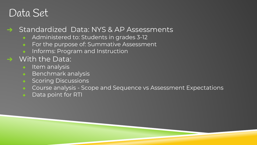#### → Standardized Data: NYS & AP Assessments

- ◆ Administered to: Students in grades 3-12
- For the purpose of: Summative Assessment
- Informs: Program and Instruction

#### $\rightarrow$  With the Data:

- **Item analysis**
- Benchmark analysis
- ◆ Scoring Discussions
- Course analysis Scope and Sequence vs Assessment Expectations
- Data point for RTI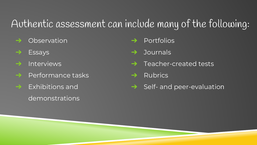## Authentic assessment can include many of the following:

- ➔ Observation
- ➔ Essays
- ➔ Interviews
- $\rightarrow$  Performance tasks
- $\rightarrow$  Exhibitions and demonstrations
- **Portfolios**
- ➔ Journals
- ➔ Teacher-created tests
- $\rightarrow$  Rubrics
- $\rightarrow$  Self- and peer-evaluation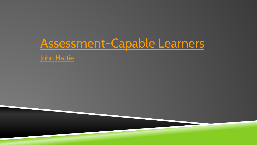# [Assessment-Capable Learners](https://www.youtube.com/watch?v=fen8M1_MfvE)

[John Hattie](https://www.youtube.com/watch?v=fen8M1_MfvE)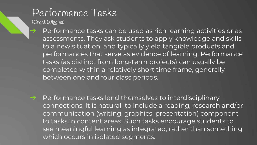# Performance Tasks

(Grant Wiggins)

➔ Performance tasks can be used as rich learning activities or as assessments. They ask students to apply knowledge and skills to a new situation, and typically yield tangible products and performances that serve as evidence of learning. Performance tasks (as distinct from long-term projects) can usually be completed within a relatively short time frame, generally between one and four class periods.

→ Performance tasks lend themselves to interdisciplinary connections. It is natural to include a reading, research and/or communication (writing, graphics, presentation) component to tasks in content areas. Such tasks encourage students to see meaningful learning as integrated, rather than something which occurs in isolated segments.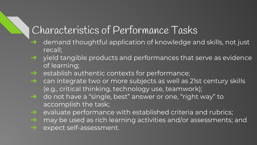## Characteristics of Performance Tasks

- ➔ demand thoughtful application of knowledge and skills, not just recall;
- ➔ yield tangible products and performances that serve as evidence of learning;
- → establish authentic contexts for performance;
- $\rightarrow$  can integrate two or more subjects as well as 21st century skills (e.g., critical thinking, technology use, teamwork);
- ➔ do not have a "single, best" answer or one, "right way" to accomplish the task;
- $\rightarrow$  evaluate performance with established criteria and rubrics;
- → may be used as rich learning activities and/or assessments; and
- → expect self-assessment.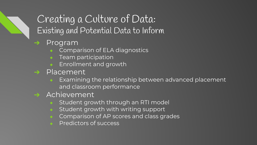## Creating a Culture of Data: Existing and Potential Data to Inform

#### ➔ Program

- ◆ Comparison of ELA diagnostics
- **Team participation**
- Enrollment and growth
- ➔ Placement
	- $\bullet$  Examining the relationship between advanced placement and classroom performance
- ➔ Achievement
	- Student growth through an RTI model
	- Student growth with writing support
	- Comparison of AP scores and class grades
	- **Predictors of success**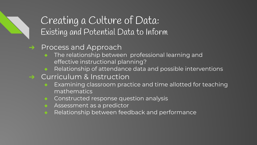#### Creating a Culture of Data: Existing and Potential Data to Inform

- → Process and Approach
	- ◆ The relationship between professional learning and effective instructional planning?
	- Relationship of attendance data and possible interventions
- ➔ Curriculum & Instruction
	- ◆ Examining classroom practice and time allotted for teaching mathematics
	- ◆ Constructed response question analysis
	- ◆ Assessment as a predictor
	- Relationship between feedback and performance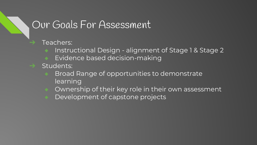#### Our Goals For Assessment

Teachers:

- Instructional Design alignment of Stage 1 & Stage 2
- Evidence based decision-making
- Students:
	- Broad Range of opportunities to demonstrate learning
	- Ownership of their key role in their own assessment
	- Development of capstone projects